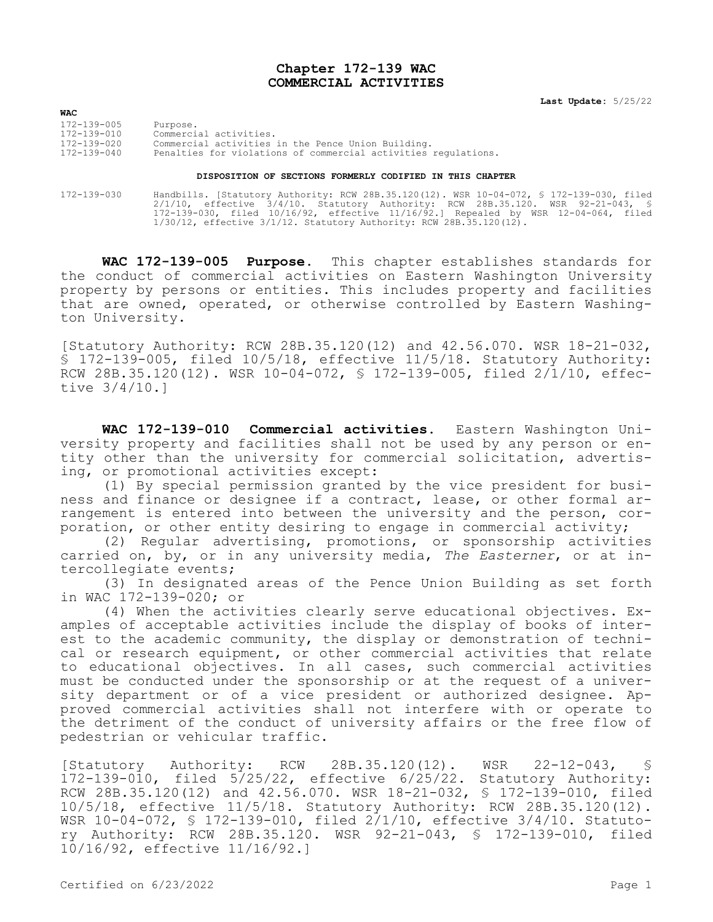## **Chapter 172-139 WAC COMMERCIAL ACTIVITIES**

**Last Update:** 5/25/22

| <b>WAC</b>  |                                                                |
|-------------|----------------------------------------------------------------|
| 172-139-005 | Purpose.                                                       |
| 172-139-010 | Commercial activities.                                         |
| 172-139-020 | Commercial activities in the Pence Union Building.             |
| 172-139-040 | Penalties for violations of commercial activities requlations. |
|             |                                                                |

## **DISPOSITION OF SECTIONS FORMERLY CODIFIED IN THIS CHAPTER**

172-139-030 Handbills. [Statutory Authority: RCW 28B.35.120(12). WSR 10-04-072, § 172-139-030, filed 2/1/10, effective 3/4/10. Statutory Authority: RCW 28B.35.120. WSR 92-21-043, § 172-139-030, filed 10/16/92, effective 11/16/92.] Repealed by WSR 12-04-064, filed 1/30/12, effective 3/1/12. Statutory Authority: RCW 28B.35.120(12).

**WAC 172-139-005 Purpose.** This chapter establishes standards for the conduct of commercial activities on Eastern Washington University property by persons or entities. This includes property and facilities that are owned, operated, or otherwise controlled by Eastern Washington University.

[Statutory Authority: RCW 28B.35.120(12) and 42.56.070. WSR 18-21-032, § 172-139-005, filed 10/5/18, effective 11/5/18. Statutory Authority: RCW 28B.35.120(12). WSR 10-04-072, § 172-139-005, filed 2/1/10, effective 3/4/10.]

**WAC 172-139-010 Commercial activities.** Eastern Washington University property and facilities shall not be used by any person or entity other than the university for commercial solicitation, advertising, or promotional activities except:

(1) By special permission granted by the vice president for business and finance or designee if a contract, lease, or other formal arrangement is entered into between the university and the person, corporation, or other entity desiring to engage in commercial activity;

(2) Regular advertising, promotions, or sponsorship activities carried on, by, or in any university media, *The Easterner*, or at intercollegiate events;

(3) In designated areas of the Pence Union Building as set forth in WAC 172-139-020; or

(4) When the activities clearly serve educational objectives. Examples of acceptable activities include the display of books of interest to the academic community, the display or demonstration of technical or research equipment, or other commercial activities that relate to educational objectives. In all cases, such commercial activities must be conducted under the sponsorship or at the request of a university department or of a vice president or authorized designee. Approved commercial activities shall not interfere with or operate to the detriment of the conduct of university affairs or the free flow of pedestrian or vehicular traffic.

[Statutory Authority: RCW 28B.35.120(12). WSR 22-12-043, § 172-139-010, filed 5/25/22, effective 6/25/22. Statutory Authority: RCW 28B.35.120(12) and 42.56.070. WSR 18-21-032, § 172-139-010, filed 10/5/18, effective 11/5/18. Statutory Authority: RCW 28B.35.120(12). WSR 10-04-072, § 172-139-010, filed 2/1/10, effective 3/4/10. Statutory Authority: RCW 28B.35.120. WSR 92-21-043, § 172-139-010, filed 10/16/92, effective 11/16/92.]